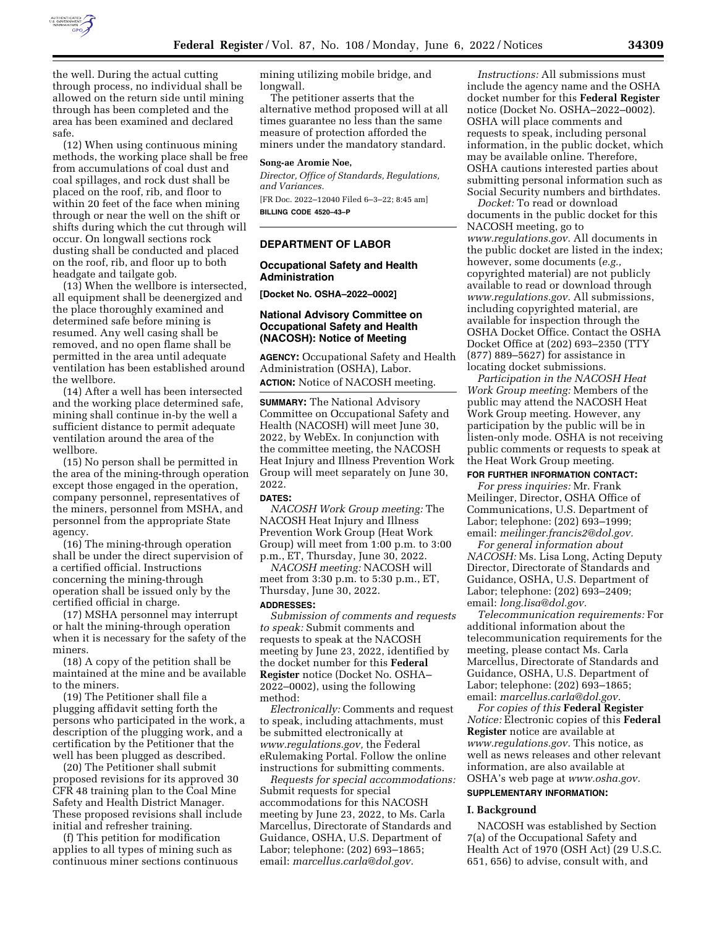

the well. During the actual cutting through process, no individual shall be allowed on the return side until mining through has been completed and the area has been examined and declared safe.

(12) When using continuous mining methods, the working place shall be free from accumulations of coal dust and coal spillages, and rock dust shall be placed on the roof, rib, and floor to within 20 feet of the face when mining through or near the well on the shift or shifts during which the cut through will occur. On longwall sections rock dusting shall be conducted and placed on the roof, rib, and floor up to both headgate and tailgate gob.

(13) When the wellbore is intersected, all equipment shall be deenergized and the place thoroughly examined and determined safe before mining is resumed. Any well casing shall be removed, and no open flame shall be permitted in the area until adequate ventilation has been established around the wellbore.

(14) After a well has been intersected and the working place determined safe, mining shall continue in-by the well a sufficient distance to permit adequate ventilation around the area of the wellbore.

(15) No person shall be permitted in the area of the mining-through operation except those engaged in the operation, company personnel, representatives of the miners, personnel from MSHA, and personnel from the appropriate State agency.

(16) The mining-through operation shall be under the direct supervision of a certified official. Instructions concerning the mining-through operation shall be issued only by the certified official in charge.

(17) MSHA personnel may interrupt or halt the mining-through operation when it is necessary for the safety of the miners.

(18) A copy of the petition shall be maintained at the mine and be available to the miners.

(19) The Petitioner shall file a plugging affidavit setting forth the persons who participated in the work, a description of the plugging work, and a certification by the Petitioner that the well has been plugged as described.

(20) The Petitioner shall submit proposed revisions for its approved 30 CFR 48 training plan to the Coal Mine Safety and Health District Manager. These proposed revisions shall include initial and refresher training.

(f) This petition for modification applies to all types of mining such as continuous miner sections continuous mining utilizing mobile bridge, and longwall.

The petitioner asserts that the alternative method proposed will at all times guarantee no less than the same measure of protection afforded the miners under the mandatory standard.

## **Song-ae Aromie Noe,**

*Director, Office of Standards, Regulations, and Variances.* 

[FR Doc. 2022–12040 Filed 6–3–22; 8:45 am] **BILLING CODE 4520–43–P** 

# **DEPARTMENT OF LABOR**

## **Occupational Safety and Health Administration**

**[Docket No. OSHA–2022–0002]** 

# **National Advisory Committee on Occupational Safety and Health (NACOSH): Notice of Meeting**

**AGENCY:** Occupational Safety and Health Administration (OSHA), Labor.

**ACTION:** Notice of NACOSH meeting.

**SUMMARY:** The National Advisory Committee on Occupational Safety and Health (NACOSH) will meet June 30, 2022, by WebEx. In conjunction with the committee meeting, the NACOSH Heat Injury and Illness Prevention Work Group will meet separately on June 30, 2022.

#### **DATES:**

*NACOSH Work Group meeting:* The NACOSH Heat Injury and Illness Prevention Work Group (Heat Work Group) will meet from 1:00 p.m. to 3:00 p.m., ET, Thursday, June 30, 2022.

*NACOSH meeting:* NACOSH will meet from 3:30 p.m. to 5:30 p.m., ET, Thursday, June 30, 2022.

# **ADDRESSES:**

*Submission of comments and requests to speak:* Submit comments and requests to speak at the NACOSH meeting by June 23, 2022, identified by the docket number for this **Federal Register** notice (Docket No. OSHA– 2022–0002), using the following method:

*Electronically:* Comments and request to speak, including attachments, must be submitted electronically at *[www.regulations.gov,](http://www.regulations.gov)* the Federal eRulemaking Portal. Follow the online instructions for submitting comments.

*Requests for special accommodations:*  Submit requests for special accommodations for this NACOSH meeting by June 23, 2022, to Ms. Carla Marcellus, Directorate of Standards and Guidance, OSHA, U.S. Department of Labor; telephone: (202) 693–1865; email: *[marcellus.carla@dol.gov.](mailto:marcellus.carla@dol.gov)* 

*Instructions:* All submissions must include the agency name and the OSHA docket number for this **Federal Register**  notice (Docket No. OSHA–2022–0002). OSHA will place comments and requests to speak, including personal information, in the public docket, which may be available online. Therefore, OSHA cautions interested parties about submitting personal information such as Social Security numbers and birthdates.

*Docket:* To read or download documents in the public docket for this NACOSH meeting, go to *[www.regulations.gov.](http://www.regulations.gov)* All documents in the public docket are listed in the index; however, some documents (*e.g.,*  copyrighted material) are not publicly available to read or download through *[www.regulations.gov.](http://www.regulations.gov)* All submissions, including copyrighted material, are available for inspection through the OSHA Docket Office. Contact the OSHA Docket Office at (202) 693–2350 (TTY (877) 889–5627) for assistance in locating docket submissions.

*Participation in the NACOSH Heat Work Group meeting:* Members of the public may attend the NACOSH Heat Work Group meeting. However, any participation by the public will be in listen-only mode. OSHA is not receiving public comments or requests to speak at the Heat Work Group meeting.

# **FOR FURTHER INFORMATION CONTACT:**

*For press inquiries:* Mr. Frank Meilinger, Director, OSHA Office of Communications, U.S. Department of Labor; telephone: (202) 693–1999; email: *[meilinger.francis2@dol.gov.](mailto:meilinger.francis2@dol.gov)* 

*For general information about NACOSH:* Ms. Lisa Long, Acting Deputy Director, Directorate of Standards and Guidance, OSHA, U.S. Department of Labor; telephone: (202) 693–2409; email: *[long.lisa@dol.gov.](mailto:long.lisa@dol.gov)* 

*Telecommunication requirements:* For additional information about the telecommunication requirements for the meeting, please contact Ms. Carla Marcellus, Directorate of Standards and Guidance, OSHA, U.S. Department of Labor; telephone: (202) 693–1865; email: *[marcellus.carla@dol.gov.](mailto:marcellus.carla@dol.gov)* 

*For copies of this* **Federal Register**  *Notice:* Electronic copies of this **Federal Register** notice are available at *[www.regulations.gov.](http://www.regulations.gov)* This notice, as well as news releases and other relevant information, are also available at OSHA's web page at *[www.osha.gov.](http://www.osha.gov)* 

# **SUPPLEMENTARY INFORMATION:**

#### **I. Background**

NACOSH was established by Section 7(a) of the Occupational Safety and Health Act of 1970 (OSH Act) (29 U.S.C. 651, 656) to advise, consult with, and